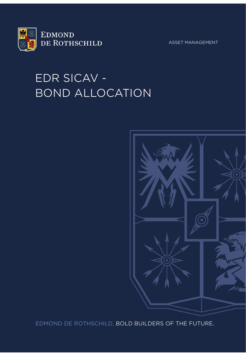

ASSET MANAGEMENT

# EDR SICAV - BOND ALLOCATION



EDMOND DE ROTHSCHILD, BOLD BUILDERS OF THE FUTURE.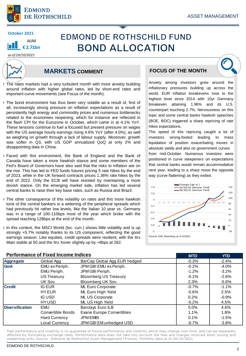

**ALIM € 2.71bn**

## **EDMOND DE ROTHSCHILD FUND BOND ALLOCATION**

#### *as of 29/10/2021*



### **MARKETS COMMENT**

- The rates markets had a very turbulent month with more anxiety building around inflation with higher global rates, led by short-end rates and important curve movements (see Focus of the month).
- › The bond environment has thus been very volatile as a result of, first of all, increasingly strong pressure on inflation expectations as a result of persistently high energy and commodity prices and numerous bottlenecks related to the economies reopening, which for instance are reflected in the flash CPI for the Eurozone in October, which came in at 4.1% YoY. These tensions continue to fuel a focused but present pressure on wages with the US average hourly earnings rising 4.6% YoY (after 4.0%), as well as weighing on growth through a lack of labour supply. Moreover, growth was softer in Q3, with US GDP annualized QoQ at only 2% and disappointing data in China.
- › Faced with this environment, the Bank of England and the Bank of Canada have taken a more hawkish stance and some members of the Fed's Board of Governors have also said that the risks to inflation are on the rise. This has led to FED funds futures pricing 5 rate hikes by the end of 2023, while in the UK forward contracts prices 1.36% rate hikes by the end of 2022. Only the ECB will have resisted by maintaining a more dovish stance. On the emerging market side, inflation has led several central banks to raise their key base rates, such as Russia and Brazil.
- › The other consequence of this volatility on rates and this more hawkish tone of the central bankers is a widening of the peripheral spreads which had previously hit rather low levels, like the Italian 10 year vs. Germany was in a range of 100-110bps most of the year which broke with the spread reaching 128bps at the end of the month.
- › In this context, the MSCI World (loc. curr.) shows little volatility and is up strongly +5.7% notably thanks to its US component, reflecting the good earnings season. Like equities, credit spreads were resilient, with the Itrx Main stable at 50 and the Itrx Xover slightly up by +8bps at 262.

### **FOCUS OF THE MONTH**

Anxiety among investors grew around the inflationary pressures building up across the world. EUR inflation breakevens rose to the highest level since 2014 with 10yr Germany breakeven attaining 1.96% and its U.S. counterpart touching 2.7%; Nervousness on this topic and some central banks hawkish speeches (BOE, BOC) triggered a sharp repricing of rate hikes expectations.

The speed of this repricing caught a lot of investors wrong-footed leading to mass liquidation of position exacerbating moves in absolute yields and also on government curves from mid-October. Numerous investors were positioned in curve steepeners on expectations that central banks would remain accommodative next year, leading to a sharp move the opposite way (curve flattening) as they exited.



| Performance of Fixed income indices |                       |                              | <b>MTD</b> | YTD.    |
|-------------------------------------|-----------------------|------------------------------|------------|---------|
| <b>Aggregate</b>                    | Global Agg            | BarCap Global Agg EUR hedged | $-0.3%$    | $-2.4%$ |
| Govt                                | EMU ex Periph.        | JPM GBI EMU ex Periph.       | $-0.2\%$   | $-4.0%$ |
|                                     | EMU Periph.           | JPM GBI Periph.              | $-1.2%$    | $-3.2%$ |
|                                     | US Treasury           | <b>Bloomberg US Treasury</b> | $-0.1%$    | $-2.6%$ |
|                                     | UK Sov.               | Bloomberg UK Sov.            | 2.3%       | $-5.6%$ |
| <b>Credit</b>                       | IG EUR                | ML Euro Corporate            | $-0.7%$    | $-1.1%$ |
|                                     | <b>HY EUR</b>         | ML Euro High Yield           | $-0.6\%$   | 2.5%    |
|                                     | <b>IG USD</b>         | ML US Corporate              | 0.2%       | $-0.9%$ |
|                                     | <b>HYUSD</b>          | ML US High Yield             | $-0.2%$    | 4.5%    |
| <b>Diversification</b>              | EMU                   | Barclays Euro ILB            | $0.0\%$    | 4.6%    |
|                                     | Convertible Bonds     | Exane Europe Convertibles    | 1.1%       | 1.8%    |
|                                     | <b>Hard Currency</b>  | <b>JPM EMBI</b>              | 0.1%       | $-1.5%$ |
|                                     | <b>Local Currency</b> | JPM GBI EM unhedged USD      | $-0.7%$    | $-3.8%$ |

Past performance and volatility is no guarantee of future performance and volatility which may change over time, and can be separately affected by fluctuating exchange rates. Performance data does not take into account the fees and charges received when issuing and redeeming units. Source : Edmond de Rothschild Asset Management (France). Portfolio data as of 29/10/2021

#### **Performance of Fixed Income Indices MTD YTD**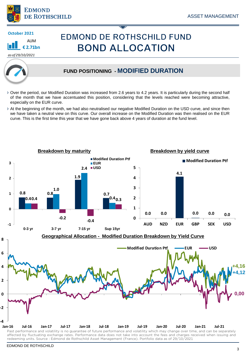

AUM **€ 2.71bn**

*as of 29/10/2021*

## **EDMOND DE ROTHSCHILD FUND BOND ALLOCATION**

### **FUND POSITIONING - MODIFIED DURATION**

- › Over the period, our Modified Duration was increased from 2.6 years to 4.2 years. It is particularly during the second half of the month that we have accentuated this position, considering that the levels reached were becoming attractive, especially on the EUR curve.
- › At the beginning of the month, we had also neutralised our negative Modified Duration on the USD curve, and since then we have taken a neutral view on this curve. Our overall increase on the Modified Duration was then realised on the EUR curve. This is the first time this year that we have gone back above 4 years of duration at the fund level.

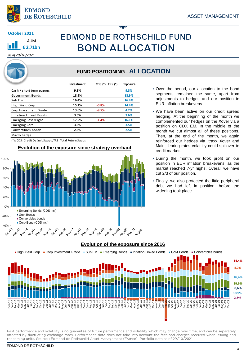

## **EDMOND DE ROTHSCHILD FUND BOND ALLOCATION**

*as of 29/10/2021*

### **FUND POSITIONING - ALLOCATION**

|                            | Investment | CDS (*) TRS (*) | Exposure |
|----------------------------|------------|-----------------|----------|
| Cash / short term papers   | 9.3%       |                 | 9.3%     |
| Government Bonds           | 18.9%      |                 | 18.9%    |
| Sub Fin                    | 16.4%      |                 | 16.4%    |
| High Yield Corp            | 15.2%      | $-0.8%$         | 14.4%    |
| Corp Investment Grade      | 13.6%      | $-9.5%$         | 4.2%     |
| Inflation Linked Bonds     | 3.6%       |                 | 3.6%     |
| <b>Emerging Sovereigns</b> | 17.5%      | $-1.4%$         | 16.1%    |
| Emerging Corp              | 3.5%       |                 | 3.5%     |
| Convertibles bonds         | 2.5%       |                 | 2.5%     |
| Macro hedge                |            |                 |          |

(\*) : CDS : Credit Default Swaps, TRS : Total Return Swaps

#### **Evolution of the exposure since strategy overhaul**



- › Over the period, our allocation to the bond segments remained the same, apart from adjustments to hedges and our position in EUR inflation breakevens.
- › We have been active on our credit spread hedging. At the beginning of the month we complemented our hedges on the Xover via a position on CDX EM. In the middle of the month we cut almost all of these positions. Then, at the end of the month, we again reinforced our hedges via Itraxx Xover and Main, fearing rates volatility could spillover to credit markets.
- › During the month, we took profit on our position in EUR inflation breakevens, as the market reached 7-yr highs. Overall we have cut 2/3 of our position.
- › Finally, we also protected the little peripheral debt we had left in position, before the widening took place.



**Evolution of the exposure since 2016**

Past performance and volatility is no guarantee of future performance and volatility which may change over time, and can be separately affected by fluctuating exchange rates. Performance data does not take into account the fees and charges received when issuing and redeeming units. Source : Edmond de Rothschild Asset Management (France). Portfolio data as of 29/10/2021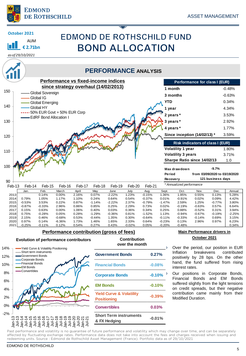

## **EDMOND DE ROTHSCHILD FUND BOND ALLOCATION**

*as of 29/10/2021*

AUM **€ 2.71bn**

**October 2021**

### **PERFORMANCE ANALYSIS**



#### **Performance contribution (gross of fees)**

#### **Evolution of performance contributors Contribution Contribution**

### **over the month**



| <b>Government Bonds</b>                                   | $0.27\%$               |  |
|-----------------------------------------------------------|------------------------|--|
| <b>Financial Bonds</b>                                    | $-0.08%$               |  |
| <b>Corporate Bonds</b>                                    | $-0.10\%$ <sup>2</sup> |  |
| <b>EM Bonds</b>                                           | $-0.10%$               |  |
| <b>Yield Curve &amp; Volatility</b><br><b>Positioning</b> | $-0.39%$               |  |
| <b>Convertibles</b>                                       | 0.03%                  |  |
| <b>Short Term instruments</b><br>& FX Hedging             | $-0.01%$               |  |

#### **Main Performance drivers in October 2021**

Over the period, our position in EUR Inflation breakevens contributed positively by 28 bps. On the other hand, the fund suffered from rising interest rates.

Our positions in Corporate Bonds, Financial Bonds and EM Bonds suffered slightly from the light tensions on credit spreads, but their negative contribution came mainly from their Modified Duration.

Past performance and volatility is no guarantee of future performance and volatility which may change over time, and can be separately affected by fluctuating exchange rates. Performance data does not take into account the fees and charges received when issuing and redeeming units. Source : Edmond de Rothschild Asset Management (France). Portfolio data as of 29/10/2021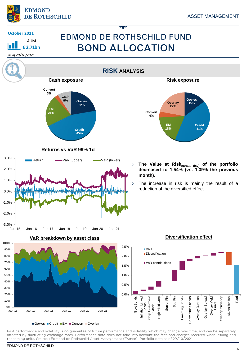

AUM **€ 2.71bn**

**October 2021**

*as of 29/10/2021*

## **EDMOND DE ROTHSCHILD FUND BOND ALLOCATION**

**RISK ANALYSIS Cash exposure Risk exposure Convert 3% Cash 9% Govies Govies Overlay 15% 22% 22% EM 21% Convert 4% EM Credit Credit 18% 41% 45% Returns vs VaR 99% 1d** 3.0% Return **WaR** (upper) **WaR** (lower) › **The Value at Risk(99%,1 day) of the portfolio** 2.0% **decreased to 1.54% (vs. 1.39% the previous month).** 1.0% › The increase in risk is mainly the result of a reduction of the diversified effect. 0.0% **THE TENNA** -1.0% -2.0% -3.0% Jan-15 Jan-16 Jan-17 Jan-18 Jan-19 Jan-20 Jan-21 **Diversification effect VaR breakdown by asset class** 100% 2.5% 90% ■VaR **Diversification** 80% 2.0% 70% VaR contributions 1.5%



Govies Credit EM Convert Overlay

Past performance and volatility is no guarantee of future performance and volatility which may change over time, and can be separately affected by fluctuating exchange rates. Performance data does not take into account the fees and charges received when issuing and redeeming units. Source : Edmond de Rothschild Asset Management (France). Portfolio data as of 29/10/2021

Govt Bonds Inflation Linked Inflation Linked Corp Investment Corp Investment<br>Grade High Yield Corp Senior Fin Sub Fin

**High Yield Corp** 

Emerging Bonds Convertibles bonds Overlay Duration Overlay Spread Overlay Yield Curve Overlay Currency Diversification

Convertibles bonds Emerging Bonds

Overlay Duration

Overlay Spread

Overlay Currency

Total